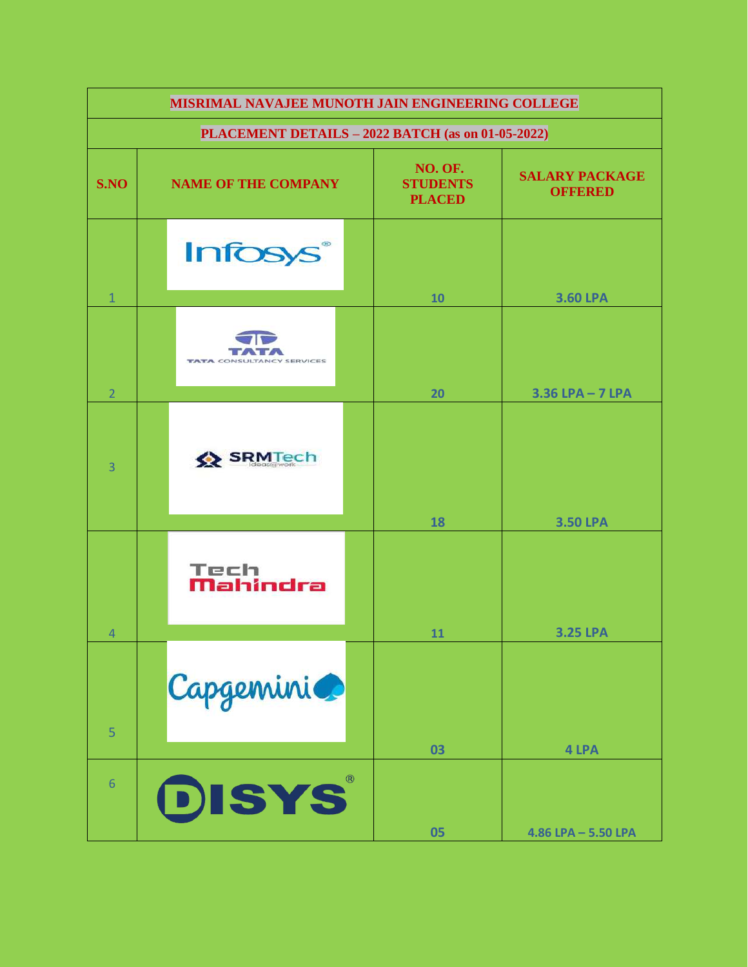| MISRIMAL NAVAJEE MUNOTH JAIN ENGINEERING COLLEGE  |                                  |                                             |                                         |  |  |
|---------------------------------------------------|----------------------------------|---------------------------------------------|-----------------------------------------|--|--|
| PLACEMENT DETAILS - 2022 BATCH (as on 01-05-2022) |                                  |                                             |                                         |  |  |
| S.NO                                              | <b>NAME OF THE COMPANY</b>       | NO. OF.<br><b>STUDENTS</b><br><b>PLACED</b> | <b>SALARY PACKAGE</b><br><b>OFFERED</b> |  |  |
|                                                   | <b>Infosys</b> ®                 |                                             |                                         |  |  |
| $\mathbf{1}$                                      |                                  | 10                                          | <b>3.60 LPA</b>                         |  |  |
| $\overline{2}$                                    | <b>TATA CONSULTANCY SERVICES</b> | 20                                          | $3.36$ LPA $-7$ LPA                     |  |  |
| $\overline{3}$                                    | SRMTech                          | 18                                          | <b>3.50 LPA</b>                         |  |  |
| $\overline{4}$                                    | Tech<br>Mahindra                 | 11                                          | <b>3.25 LPA</b>                         |  |  |
| 5                                                 | Capgemini                        | 03                                          | 4 LPA                                   |  |  |
| 6                                                 | DISYS                            | 05                                          | $4.86$ LPA $-$ 5.50 LPA                 |  |  |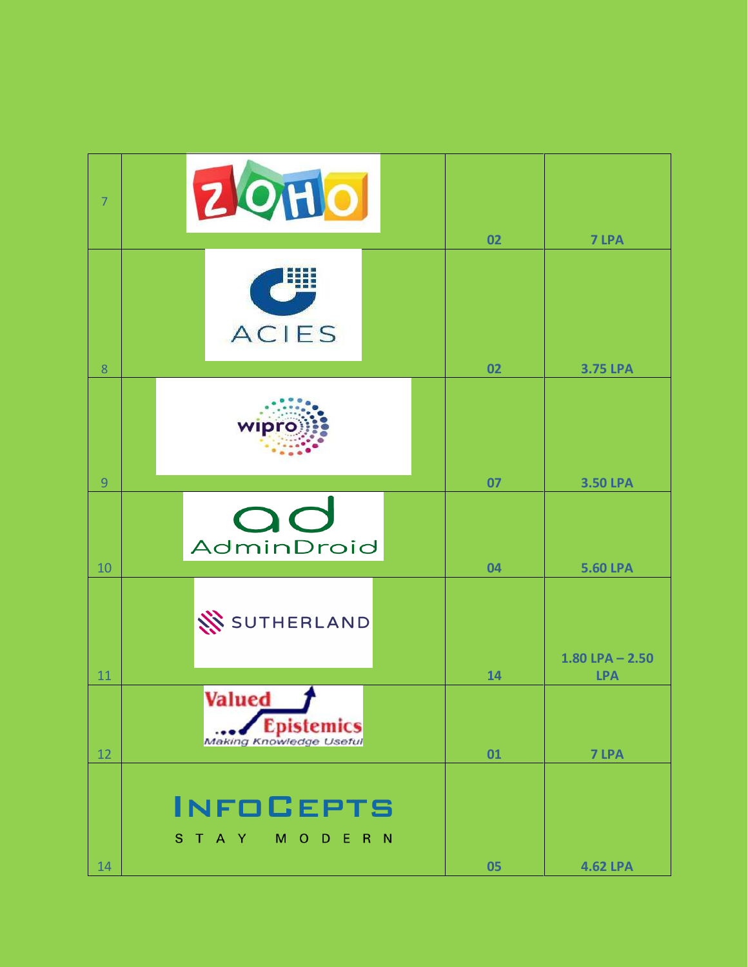| $\overline{7}$ | <b>ZOHO</b>                                                     | 02 | 7 LPA               |
|----------------|-----------------------------------------------------------------|----|---------------------|
| 8              | U<br><b>ACIES</b>                                               | 02 | <b>3.75 LPA</b>     |
| $\overline{9}$ | wipro                                                           | 07 | <b>3.50 LPA</b>     |
| 10             | OC<br>AdminDroid                                                | 04 | <b>5.60 LPA</b>     |
|                | SUTHERLAND                                                      |    | $1.80$ LPA $- 2.50$ |
| 11             |                                                                 | 14 | <b>LPA</b>          |
| 12             | <b>Valued</b><br><b>Epistemics</b>                              | 01 | 7 LPA               |
| 14             | <b>INFOCEPTS</b><br>S T A Y<br>M <sub>O</sub><br>$R$ $N$<br>D E | 05 | <b>4.62 LPA</b>     |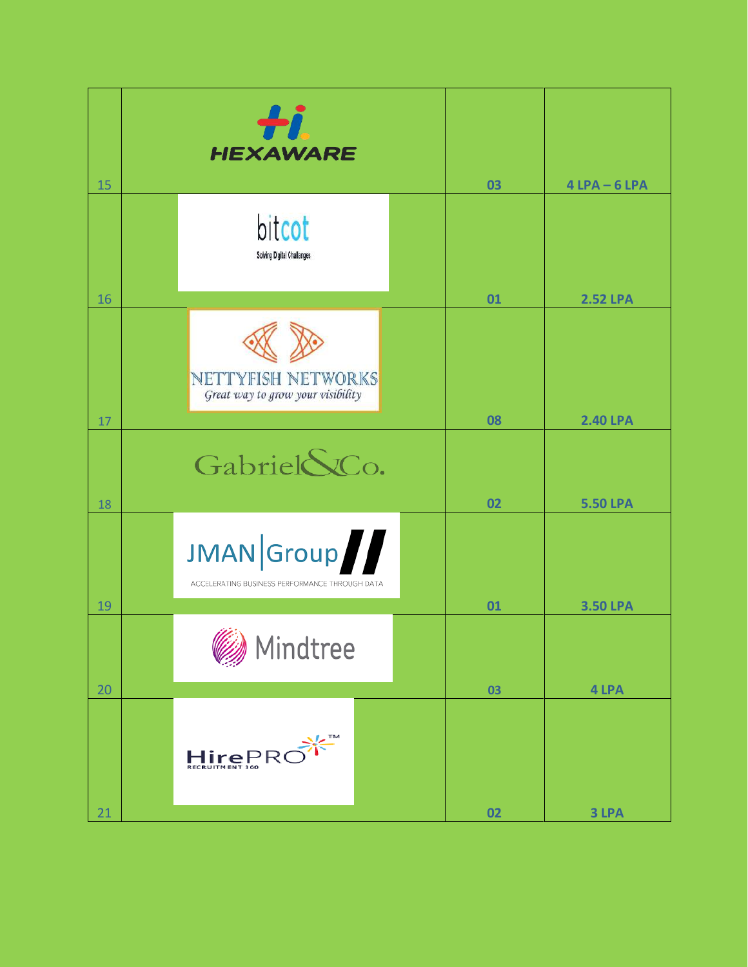| 15 | ÷i.<br><b>HEXAWARE</b>                                       | 03 | $4$ LPA $-6$ LPA |
|----|--------------------------------------------------------------|----|------------------|
| 16 | bitcot<br>Solving Digital Challanges                         | 01 | <b>2.52 LPA</b>  |
| 17 | NETTYFISH NETWORKS<br>Great way to grow your visibility      | 08 | <b>2.40 LPA</b>  |
| 18 | Gabriel SCo.                                                 | 02 | <b>5.50 LPA</b>  |
| 19 | JMAN Group<br>ACCELERATING BUSINESS PERFORMANCE THROUGH DATA | 01 | <b>3.50 LPA</b>  |
| 20 | iii x<br>Mindtree                                            | 03 | 4 LPA            |
|    | HirePRC                                                      |    |                  |
| 21 |                                                              | 02 | 3 LPA            |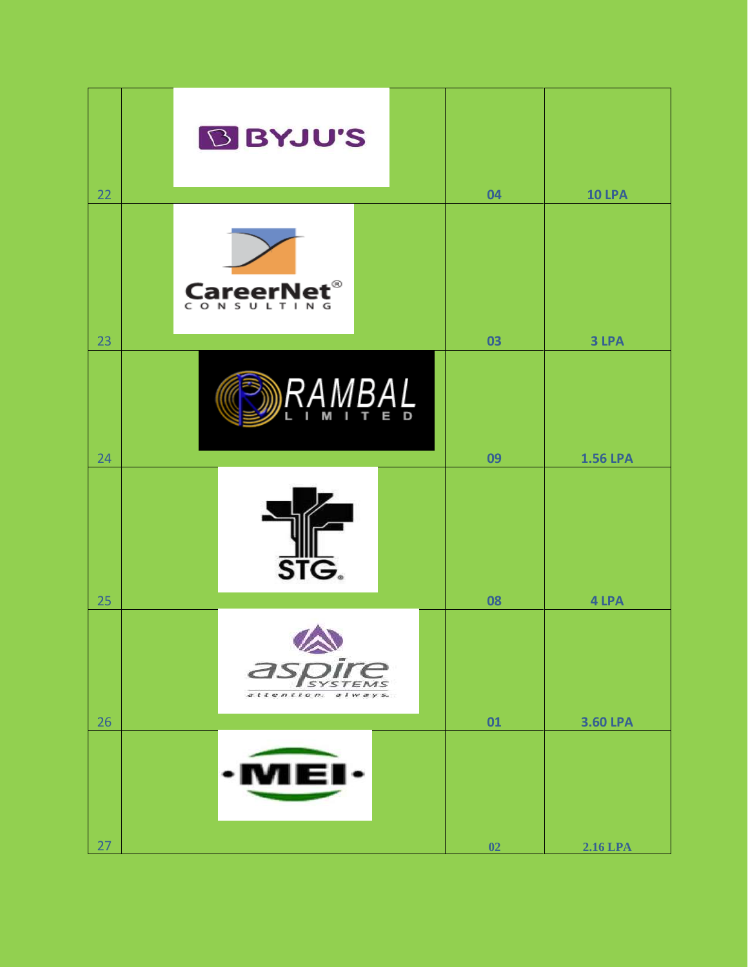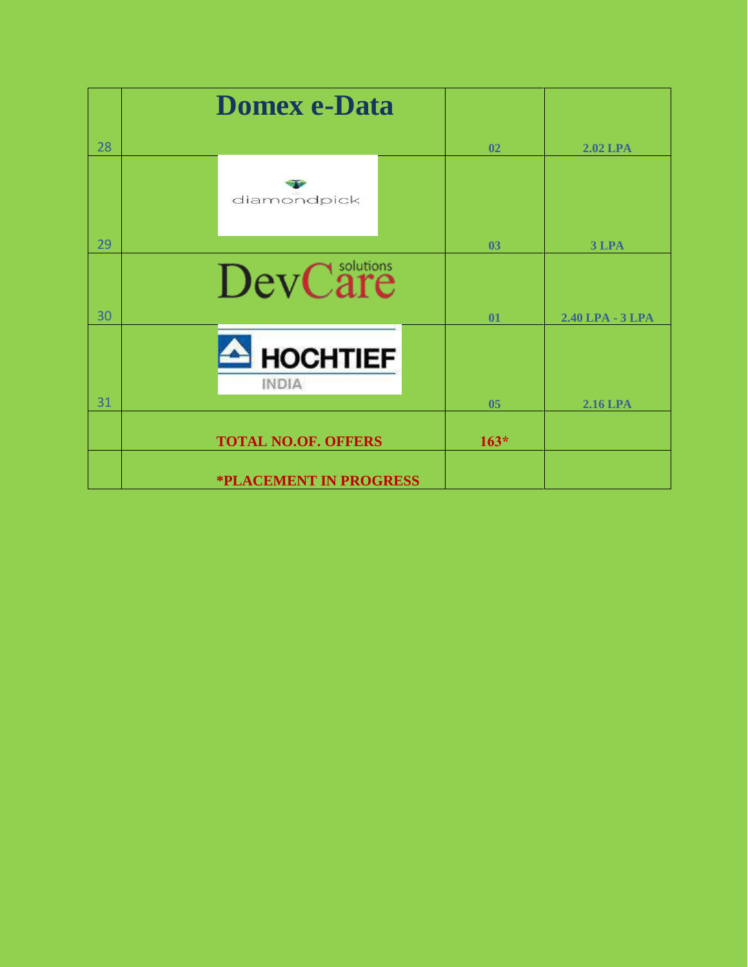|    | <b>Domex e-Data</b>             |        |                  |
|----|---------------------------------|--------|------------------|
| 28 |                                 | 02     | <b>2.02 LPA</b>  |
|    | diamondpick                     |        |                  |
| 29 |                                 | 03     | 3 LPA            |
| 30 | DevCare                         | 01     | 2.40 LPA - 3 LPA |
| 31 | <b>HOCHTIEF</b><br><b>INDIA</b> |        |                  |
|    |                                 | 05     | <b>2.16 LPA</b>  |
|    | <b>TOTAL NO.OF. OFFERS</b>      | $163*$ |                  |
|    | <b>*PLACEMENT IN PROGRESS</b>   |        |                  |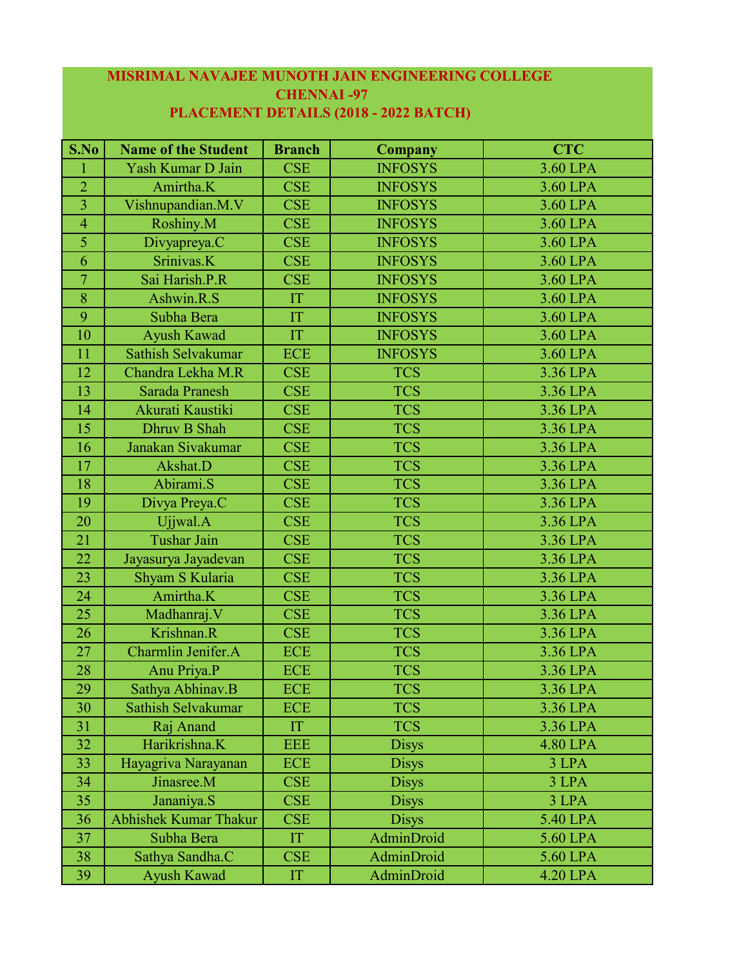## **MISRIMAL NAVAJEE MUNOTH JAIN ENGINEERING COLLEGE CHENNAI -97**

| S.No           | <b>Name of the Student</b>   | <b>Branch</b>        | <b>Company</b> | <b>CTC</b> |
|----------------|------------------------------|----------------------|----------------|------------|
| -1             | Yash Kumar D Jain            | <b>CSE</b>           | <b>INFOSYS</b> | 3.60 LPA   |
| $\overline{2}$ | Amirtha.K                    | <b>CSE</b>           | <b>INFOSYS</b> | 3.60 LPA   |
| $\overline{3}$ | Vishnupandian.M.V            | <b>CSE</b>           | <b>INFOSYS</b> | 3.60 LPA   |
| $\overline{4}$ | Roshiny.M                    | <b>CSE</b>           | <b>INFOSYS</b> | 3.60 LPA   |
| $\overline{5}$ | Divyapreya.C                 | <b>CSE</b>           | <b>INFOSYS</b> | 3.60 LPA   |
| 6              | Srinivas.K                   | <b>CSE</b>           | <b>INFOSYS</b> | 3.60 LPA   |
| $\overline{7}$ | Sai Harish.P.R               | <b>CSE</b>           | <b>INFOSYS</b> | 3.60 LPA   |
| 8              | Ashwin.R.S                   | $\mathop{\text{IT}}$ | <b>INFOSYS</b> | 3.60 LPA   |
| 9              | Subha Bera                   | IT                   | <b>INFOSYS</b> | 3.60 LPA   |
| 10             | Ayush Kawad                  | IT                   | <b>INFOSYS</b> | 3.60 LPA   |
| 11             | Sathish Selvakumar           | <b>ECE</b>           | <b>INFOSYS</b> | 3.60 LPA   |
| 12             | Chandra Lekha M.R            | <b>CSE</b>           | <b>TCS</b>     | 3.36 LPA   |
| 13             | <b>Sarada Pranesh</b>        | <b>CSE</b>           | <b>TCS</b>     | 3.36 LPA   |
| 14             | Akurati Kaustiki             | <b>CSE</b>           | <b>TCS</b>     | 3.36 LPA   |
| 15             | Dhruv B Shah                 | <b>CSE</b>           | <b>TCS</b>     | 3.36 LPA   |
| 16             | Janakan Sivakumar            | <b>CSE</b>           | <b>TCS</b>     | 3.36 LPA   |
| 17             | Akshat.D                     | <b>CSE</b>           | <b>TCS</b>     | 3.36 LPA   |
| 18             | Abirami.S                    | <b>CSE</b>           | <b>TCS</b>     | 3.36 LPA   |
| 19             | Divya Preya.C                | <b>CSE</b>           | <b>TCS</b>     | 3.36 LPA   |
| $20\,$         | Ujjwal.A                     | <b>CSE</b>           | <b>TCS</b>     | 3.36 LPA   |
| 21             | <b>Tushar Jain</b>           | <b>CSE</b>           | <b>TCS</b>     | 3.36 LPA   |
| 22             | Jayasurya Jayadevan          | <b>CSE</b>           | <b>TCS</b>     | 3.36 LPA   |
| 23             | Shyam S Kularia              | <b>CSE</b>           | <b>TCS</b>     | 3.36 LPA   |
| 24             | Amirtha.K                    | <b>CSE</b>           | <b>TCS</b>     | 3.36 LPA   |
| 25             | Madhanraj. V                 | <b>CSE</b>           | <b>TCS</b>     | 3.36 LPA   |
| 26             | Krishnan.R                   | <b>CSE</b>           | <b>TCS</b>     | 3.36 LPA   |
| 27             | Charmlin Jenifer.A           | <b>ECE</b>           | <b>TCS</b>     | 3.36 LPA   |
| 28             | Anu Priya.P                  | <b>ECE</b>           | <b>TCS</b>     | 3.36 LPA   |
| 29             | Sathya Abhinav.B             | ECE                  | <b>TCS</b>     | 3.36 LPA   |
| 30             | Sathish Selvakumar           | <b>ECE</b>           | <b>TCS</b>     | 3.36 LPA   |
| 31             | Raj Anand                    | IT                   | <b>TCS</b>     | 3.36 LPA   |
| 32             | Harikrishna.K                | <b>EEE</b>           | <b>Disys</b>   | 4.80 LPA   |
| 33             | Hayagriva Narayanan          | <b>ECE</b>           | <b>Disys</b>   | 3 LPA      |
| 34             | Jinasree.M                   | <b>CSE</b>           | <b>Disys</b>   | 3 LPA      |
| 35             | Jananiya.S                   | <b>CSE</b>           | <b>Disys</b>   | 3 LPA      |
| 36             | <b>Abhishek Kumar Thakur</b> | <b>CSE</b>           | <b>Disys</b>   | 5.40 LPA   |
| 37             | Subha Bera                   | IT                   | AdminDroid     | 5.60 LPA   |
| 38             | Sathya Sandha.C              | <b>CSE</b>           | AdminDroid     | 5.60 LPA   |
| 39             | Ayush Kawad                  | IT                   | AdminDroid     | 4.20 LPA   |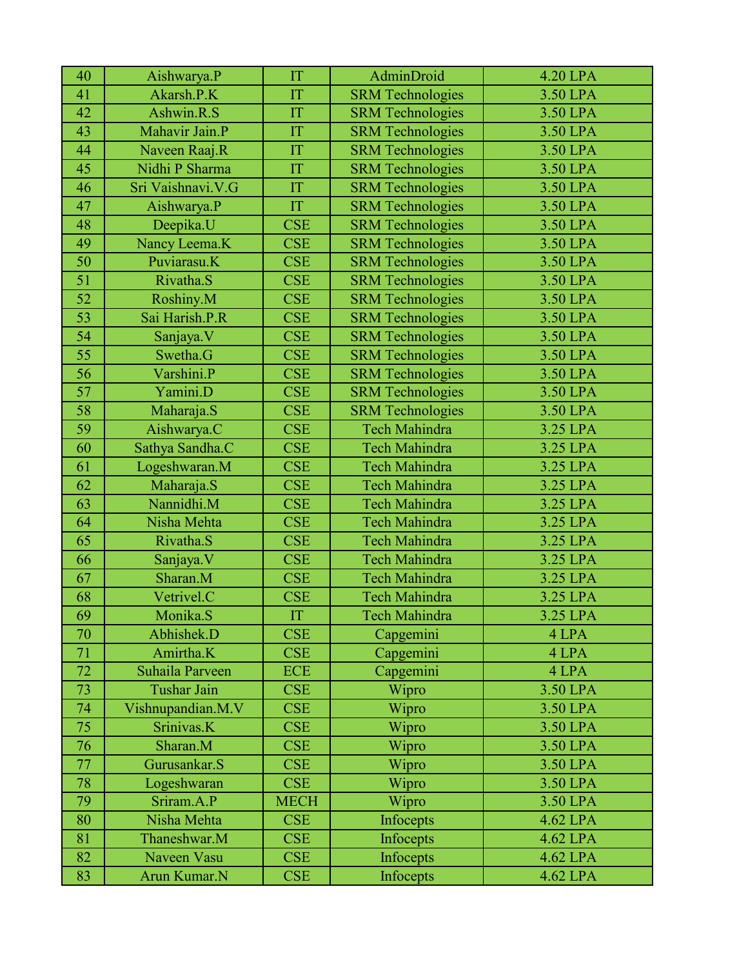| 40              | Aishwarya.P        | IT          | AdminDroid              | <b>4.20 LPA</b> |
|-----------------|--------------------|-------------|-------------------------|-----------------|
| 41              | Akarsh.P.K         | IT          | <b>SRM</b> Technologies | 3.50 LPA        |
| 42              | Ashwin.R.S         | IT          | <b>SRM</b> Technologies | 3.50 LPA        |
| 43              | Mahavir Jain.P     | IT          | <b>SRM</b> Technologies | 3.50 LPA        |
| 44              | Naveen Raaj.R      | IT          | <b>SRM</b> Technologies | 3.50 LPA        |
| 45              | Nidhi P Sharma     | IT          | <b>SRM</b> Technologies | 3.50 LPA        |
| 46              | Sri Vaishnavi.V.G  | IT          | <b>SRM</b> Technologies | 3.50 LPA        |
| 47              | Aishwarya.P        | IT          | <b>SRM</b> Technologies | 3.50 LPA        |
| 48              | Deepika.U          | <b>CSE</b>  | <b>SRM</b> Technologies | 3.50 LPA        |
| 49              | Nancy Leema.K      | <b>CSE</b>  | <b>SRM</b> Technologies | 3.50 LPA        |
| 50              | Puviarasu.K        | <b>CSE</b>  | <b>SRM</b> Technologies | 3.50 LPA        |
| 51              | Rivatha.S          | <b>CSE</b>  | <b>SRM</b> Technologies | 3.50 LPA        |
| 52              | Roshiny.M          | <b>CSE</b>  | <b>SRM</b> Technologies | 3.50 LPA        |
| 53              | Sai Harish.P.R     | <b>CSE</b>  | <b>SRM</b> Technologies | 3.50 LPA        |
| $\overline{54}$ | Sanjaya.V          | <b>CSE</b>  | <b>SRM Technologies</b> | 3.50 LPA        |
| 55              | Swetha.G           | <b>CSE</b>  | <b>SRM Technologies</b> | 3.50 LPA        |
| 56              | Varshini.P         | <b>CSE</b>  | <b>SRM Technologies</b> | 3.50 LPA        |
| 57              | Yamini.D           | <b>CSE</b>  | <b>SRM</b> Technologies | 3.50 LPA        |
| 58              | Maharaja.S         | <b>CSE</b>  | <b>SRM</b> Technologies | 3.50 LPA        |
| 59              | Aishwarya.C        | <b>CSE</b>  | Tech Mahindra           | 3.25 LPA        |
| 60              | Sathya Sandha.C    | <b>CSE</b>  | <b>Tech Mahindra</b>    | 3.25 LPA        |
| 61              | Logeshwaran.M      | <b>CSE</b>  | <b>Tech Mahindra</b>    | 3.25 LPA        |
| 62              | Maharaja.S         | <b>CSE</b>  | <b>Tech Mahindra</b>    | 3.25 LPA        |
| 63              | Nannidhi.M         | <b>CSE</b>  | <b>Tech Mahindra</b>    | 3.25 LPA        |
| 64              | Nisha Mehta        | <b>CSE</b>  | <b>Tech Mahindra</b>    | 3.25 LPA        |
| 65              | Rivatha.S          | <b>CSE</b>  | <b>Tech Mahindra</b>    | 3.25 LPA        |
| 66              | Sanjaya.V          | <b>CSE</b>  | <b>Tech Mahindra</b>    | 3.25 LPA        |
| 67              | Sharan.M           | <b>CSE</b>  | <b>Tech Mahindra</b>    | 3.25 LPA        |
| 68              | Vetrivel.C         | <b>CSE</b>  | Tech Mahindra           | 3.25 LPA        |
| 69              | Monika.S           | IT          | <b>Tech Mahindra</b>    | 3.25 LPA        |
| 70              | Abhishek.D         | <b>CSE</b>  | Capgemini               | 4 LPA           |
| 71              | Amirtha.K          | <b>CSE</b>  | Capgemini               | 4 LPA           |
| 72              | Suhaila Parveen    | <b>ECE</b>  | Capgemini               | 4 LPA           |
| 73              | <b>Tushar Jain</b> | <b>CSE</b>  | Wipro                   | 3.50 LPA        |
| 74              | Vishnupandian.M.V  | <b>CSE</b>  | Wipro                   | 3.50 LPA        |
| 75              | Srinivas.K         | <b>CSE</b>  | Wipro                   | 3.50 LPA        |
| 76              | Sharan.M           | <b>CSE</b>  | Wipro                   | 3.50 LPA        |
| 77              | Gurusankar.S       | <b>CSE</b>  | Wipro                   | 3.50 LPA        |
| 78              | Logeshwaran        | <b>CSE</b>  | Wipro                   | 3.50 LPA        |
| 79              | Sriram.A.P         | <b>MECH</b> | Wipro                   | 3.50 LPA        |
| 80              | Nisha Mehta        | <b>CSE</b>  | Infocepts               | 4.62 LPA        |
| 81              | Thaneshwar.M       | <b>CSE</b>  | Infocepts               | 4.62 LPA        |
| 82              | Naveen Vasu        | <b>CSE</b>  | Infocepts               | 4.62 LPA        |
| 83              | Arun Kumar.N       | <b>CSE</b>  | Infocepts               | 4.62 LPA        |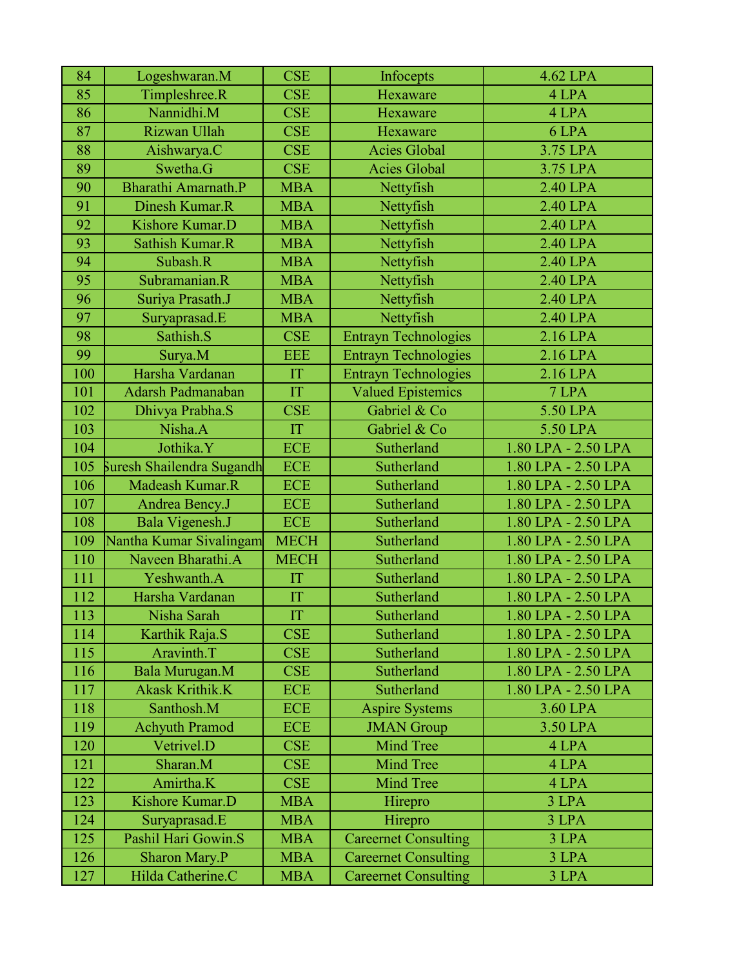| 84  | Logeshwaran.M             | <b>CSE</b>  | Infocepts                   | 4.62 LPA            |
|-----|---------------------------|-------------|-----------------------------|---------------------|
| 85  | Timpleshree.R             | <b>CSE</b>  | Hexaware                    | 4 LPA               |
| 86  | Nannidhi.M                | <b>CSE</b>  | Hexaware                    | 4 LPA               |
| 87  | Rizwan Ullah              | <b>CSE</b>  | Hexaware                    | 6 LPA               |
| 88  | Aishwarya.C               | <b>CSE</b>  | <b>Acies Global</b>         | 3.75 LPA            |
| 89  | Swetha.G                  | <b>CSE</b>  | <b>Acies Global</b>         | 3.75 LPA            |
| 90  | Bharathi Amarnath.P       | <b>MBA</b>  | Nettyfish                   | 2.40 LPA            |
| 91  | Dinesh Kumar.R            | <b>MBA</b>  | Nettyfish                   | 2.40 LPA            |
| 92  | Kishore Kumar.D           | <b>MBA</b>  | Nettyfish                   | 2.40 LPA            |
| 93  | Sathish Kumar.R           | <b>MBA</b>  | Nettyfish                   | 2.40 LPA            |
| 94  | Subash.R                  | <b>MBA</b>  | Nettyfish                   | 2.40 LPA            |
| 95  | Subramanian.R             | <b>MBA</b>  | Nettyfish                   | 2.40 LPA            |
| 96  | Suriya Prasath.J          | <b>MBA</b>  | Nettyfish                   | 2.40 LPA            |
| 97  | Suryaprasad.E             | <b>MBA</b>  | Nettyfish                   | 2.40 LPA            |
| 98  | Sathish.S                 | <b>CSE</b>  | <b>Entrayn Technologies</b> | 2.16 LPA            |
| 99  | Surya.M                   | <b>EEE</b>  | <b>Entrayn Technologies</b> | 2.16 LPA            |
| 100 | Harsha Vardanan           | IT          | <b>Entrayn Technologies</b> | 2.16 LPA            |
| 101 | Adarsh Padmanaban         | IT          | <b>Valued Epistemics</b>    | 7 LPA               |
| 102 | Dhivya Prabha.S           | <b>CSE</b>  | Gabriel & Co                | 5.50 LPA            |
| 103 | Nisha.A                   | IT          | Gabriel & Co                | 5.50 LPA            |
| 104 | Jothika.Y                 | <b>ECE</b>  | Sutherland                  | 1.80 LPA - 2.50 LPA |
| 105 | Suresh Shailendra Sugandh | <b>ECE</b>  | Sutherland                  | 1.80 LPA - 2.50 LPA |
| 106 | Madeash Kumar.R           | <b>ECE</b>  | Sutherland                  | 1.80 LPA - 2.50 LPA |
| 107 | Andrea Bency.J            | <b>ECE</b>  | Sutherland                  | 1.80 LPA - 2.50 LPA |
| 108 | Bala Vigenesh.J           | <b>ECE</b>  | Sutherland                  | 1.80 LPA - 2.50 LPA |
| 109 | Nantha Kumar Sivalingam   | <b>MECH</b> | Sutherland                  | 1.80 LPA - 2.50 LPA |
| 110 | Naveen Bharathi.A         | <b>MECH</b> | Sutherland                  | 1.80 LPA - 2.50 LPA |
| 111 | Yeshwanth.A               | IT          | Sutherland                  | 1.80 LPA - 2.50 LPA |
| 112 | Harsha Vardanan           | IT          | Sutherland                  | 1.80 LPA - 2.50 LPA |
| 113 | Nisha Sarah               | IT          | Sutherland                  | 1.80 LPA - 2.50 LPA |
| 114 | Karthik Raja.S            | <b>CSE</b>  | Sutherland                  | 1.80 LPA - 2.50 LPA |
| 115 | Aravinth.T                | <b>CSE</b>  | Sutherland                  | 1.80 LPA - 2.50 LPA |
| 116 | Bala Murugan.M            | <b>CSE</b>  | Sutherland                  | 1.80 LPA - 2.50 LPA |
| 117 | <b>Akask Krithik.K</b>    | <b>ECE</b>  | Sutherland                  | 1.80 LPA - 2.50 LPA |
| 118 | Santhosh.M                | <b>ECE</b>  | <b>Aspire Systems</b>       | 3.60 LPA            |
| 119 | <b>Achyuth Pramod</b>     | <b>ECE</b>  | <b>JMAN</b> Group           | 3.50 LPA            |
| 120 | Vetrivel.D                | <b>CSE</b>  | <b>Mind Tree</b>            | 4 LPA               |
| 121 | Sharan.M                  | <b>CSE</b>  | <b>Mind Tree</b>            | 4 LPA               |
| 122 | Amirtha.K                 | <b>CSE</b>  | <b>Mind Tree</b>            | 4 LPA               |
| 123 | Kishore Kumar.D           | <b>MBA</b>  | Hirepro                     | 3 LPA               |
| 124 | Suryaprasad.E             | <b>MBA</b>  | Hirepro                     | 3 LPA               |
| 125 | Pashil Hari Gowin.S       | <b>MBA</b>  | <b>Careernet Consulting</b> | 3 LPA               |
| 126 | Sharon Mary.P             | <b>MBA</b>  | <b>Careernet Consulting</b> | 3 LPA               |
| 127 | Hilda Catherine.C         | <b>MBA</b>  | <b>Careernet Consulting</b> | 3 LPA               |